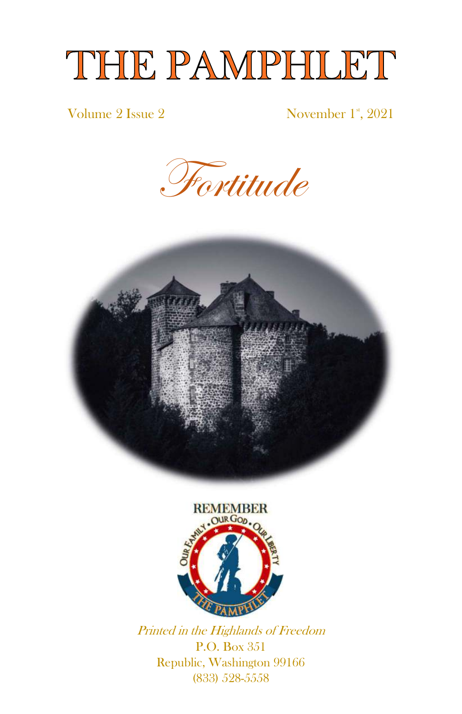# THE PAMPHLET

Volume 2 Issue 2 November 1<sup>st</sup>, 2021







Printed in the Highlands of Freedom P.O. Box 351 Republic, Washington 99166 (833) 528-5558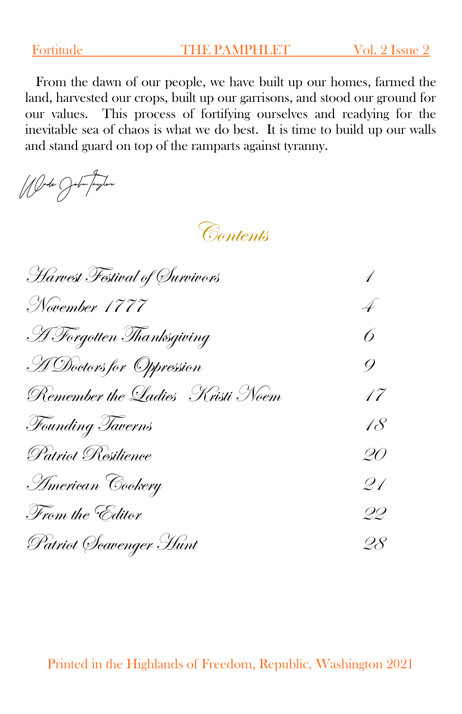From the dawn of our people, we have built up our homes, farmed the land, harvested our crops, built up our garrisons, and stood our ground for our values. This process of fortifying ourselves and readying for the inevitable sea of chaos is what we do best. It is time to build up our walls and stand guard on top of the ramparts against tyranny.

Wade John Taylor

Contents

| Harvest Festival of Survivors   |    |
|---------------------------------|----|
| November 1777                   | 4  |
| <i>A Forgotten Thanksgiving</i> | 6  |
| A Doctors for Oppression        | 9  |
| Remember the Ladies Kristi Noem | 17 |
| Founding Taverns                | 18 |
| Patriot Resilience              | 20 |
| <i>Ismerican Cookery</i>        | 21 |
| From the Editor                 | 22 |
| Patriot Scavenger Hunt          | 28 |

### Printed in the Highlands of Freedom, Republic, Washington 2021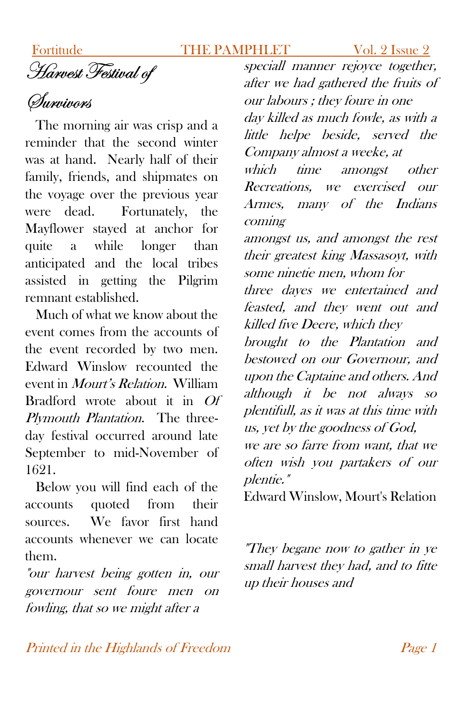## Harvest Festival of

## Survivors

 The morning air was crisp and a reminder that the second winter was at hand. Nearly half of their family, friends, and shipmates on the voyage over the previous year were dead. Fortunately, the Mayflower stayed at anchor for quite a while longer than anticipated and the local tribes assisted in getting the Pilgrim remnant established.

 Much of what we know about the event comes from the accounts of the event recorded by two men. Edward Winslow recounted the event in Mourt's Relation. William Bradford wrote about it in Of Plymouth Plantation. The threeday festival occurred around late September to mid-November of 1621.

 Below you will find each of the accounts quoted from their sources. We favor first hand accounts whenever we can locate them.

"our harvest being gotten in, our governour sent foure men on fowling, that so we might after a

speciall manner rejoyce together, after we had gathered the fruits of our labours ; they foure in one day killed as much fowle, as with a little helpe beside, served the Company almost a weeke, at which time amongst other Recreations, we exercised our Armes, many of the Indians coming

amongst us, and amongst the rest their greatest king Massasoyt, with some ninetie men, whom for

three dayes we entertained and feasted, and they went out and killed five Deere, which they

brought to the Plantation and bestowed on our Governour, and upon the Captaine and others. And although it be not always so plentifull, as it was at this time with us, yet by the goodness of God, we are so farre from want, that we often wish you partakers of our plentie."

Edward Winslow, Mourt's Relation

"They begane now to gather in ye small harvest they had, and to fitte up their houses and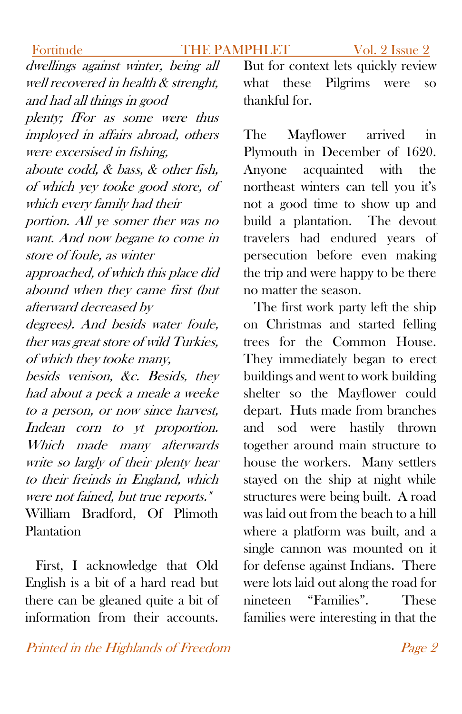dwellings against winter, being all well recovered in health & strenght, and had all things in good plenty; fFor as some were thus

imployed in affairs abroad, others were excersised in fishing,

aboute codd, & bass, & other fish, of which yey tooke good store, of which every family had their

portion. All ye somer ther was no want. And now begane to come in store of foule, as winter

approached, of which this place did abound when they came first (but afterward decreased by

degrees). And besids water foule, ther was great store of wild Turkies, of which they tooke many,

besids venison, &c. Besids, they had about a peck a meale a weeke to a person, or now since harvest, Indean corn to vt proportion. Which made many afterwards write so largly of their plenty hear to their freinds in England, which were not fained, but true reports." William Bradford, Of Plimoth **Plantation** 

 First, I acknowledge that Old English is a bit of a hard read but there can be gleaned quite a bit of information from their accounts.

But for context lets quickly review what these Pilgrims were so thankful for.

The Mayflower arrived in Plymouth in December of 1620. Anyone acquainted with the northeast winters can tell you it's not a good time to show up and build a plantation. The devout travelers had endured years of persecution before even making the trip and were happy to be there no matter the season.

 The first work party left the ship on Christmas and started felling trees for the Common House. They immediately began to erect buildings and went to work building shelter so the Mayflower could depart. Huts made from branches and sod were hastily thrown together around main structure to house the workers. Many settlers stayed on the ship at night while structures were being built. A road was laid out from the beach to a hill where a platform was built, and a single cannon was mounted on it for defense against Indians. There were lots laid out along the road for nineteen "Families". These families were interesting in that the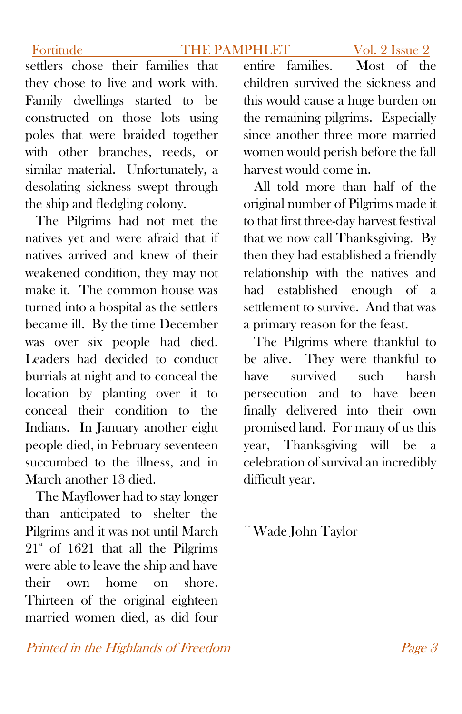settlers chose their families that they chose to live and work with. Family dwellings started to be constructed on those lots using poles that were braided together with other branches, reeds, or similar material. Unfortunately, a desolating sickness swept through the ship and fledgling colony.

 The Pilgrims had not met the natives yet and were afraid that if natives arrived and knew of their weakened condition, they may not make it. The common house was turned into a hospital as the settlers became ill. By the time December was over six people had died. Leaders had decided to conduct burrials at night and to conceal the location by planting over it to conceal their condition to the Indians. In January another eight people died, in February seventeen succumbed to the illness, and in March another 13 died.

 The Mayflower had to stay longer than anticipated to shelter the Pilgrims and it was not until March  $21<sup>st</sup>$  of 1621 that all the Pilgrims were able to leave the ship and have their own home on shore. Thirteen of the original eighteen married women died, as did four

entire families. Most of the children survived the sickness and this would cause a huge burden on the remaining pilgrims. Especially since another three more married women would perish before the fall harvest would come in.

 All told more than half of the original number of Pilgrims made it to that first three-day harvest festival that we now call Thanksgiving. By then they had established a friendly relationship with the natives and had established enough of a settlement to survive. And that was a primary reason for the feast.

 The Pilgrims where thankful to be alive. They were thankful to have survived such harsh persecution and to have been finally delivered into their own promised land. For many of us this year, Thanksgiving will be a celebration of survival an incredibly difficult year.

~Wade John Taylor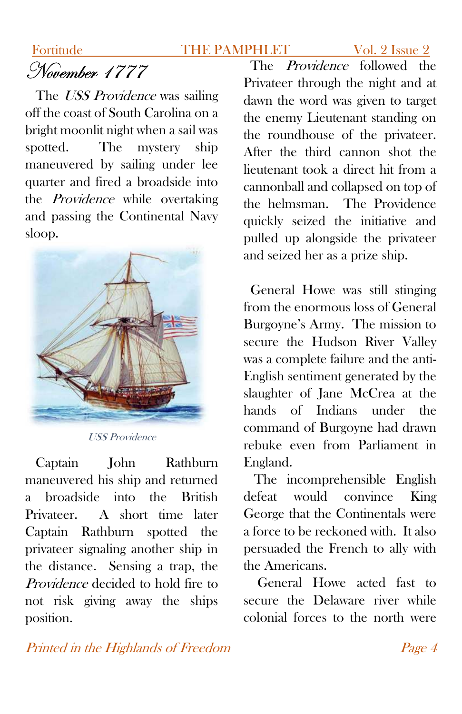## November 1777

The *USS Providence* was sailing off the coast of South Carolina on a bright moonlit night when a sail was spotted. The mystery ship maneuvered by sailing under lee quarter and fired a broadside into the *Providence* while overtaking and passing the Continental Navy sloop.



USS Providence

 Captain John Rathburn maneuvered his ship and returned a broadside into the British Privateer. A short time later Captain Rathburn spotted the privateer signaling another ship in the distance. Sensing a trap, the Providence decided to hold fire to not risk giving away the ships position.

The *Providence* followed the Privateer through the night and at dawn the word was given to target the enemy Lieutenant standing on the roundhouse of the privateer. After the third cannon shot the lieutenant took a direct hit from a cannonball and collapsed on top of the helmsman. The Providence quickly seized the initiative and pulled up alongside the privateer and seized her as a prize ship.

 General Howe was still stinging from the enormous loss of General Burgoyne's Army. The mission to secure the Hudson River Valley was a complete failure and the anti-English sentiment generated by the slaughter of Jane McCrea at the hands of Indians under the command of Burgoyne had drawn rebuke even from Parliament in England.

 The incomprehensible English defeat would convince King George that the Continentals were a force to be reckoned with. It also persuaded the French to ally with the Americans.

 General Howe acted fast to secure the Delaware river while colonial forces to the north were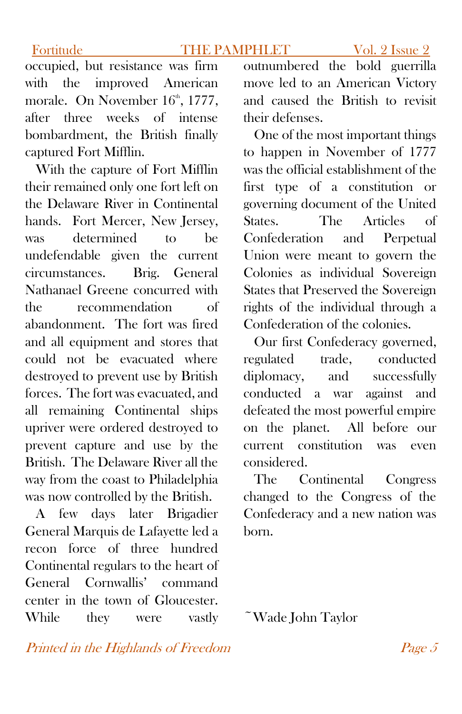occupied, but resistance was firm with the improved American morale. On November  $16^{\text{th}}$ , 1777, after three weeks of intense bombardment, the British finally captured Fort Mifflin.

 With the capture of Fort Mifflin their remained only one fort left on the Delaware River in Continental hands. Fort Mercer, New Jersey, was determined to be undefendable given the current circumstances. Brig. General Nathanael Greene concurred with the recommendation of abandonment. The fort was fired and all equipment and stores that could not be evacuated where destroyed to prevent use by British forces. The fort was evacuated, and all remaining Continental ships upriver were ordered destroyed to prevent capture and use by the British. The Delaware River all the way from the coast to Philadelphia was now controlled by the British.

 A few days later Brigadier General Marquis de Lafayette led a recon force of three hundred Continental regulars to the heart of General Cornwallis' command center in the town of Gloucester. While they were vastly

outnumbered the bold guerrilla move led to an American Victory and caused the British to revisit their defenses.

 One of the most important things to happen in November of 1777 was the official establishment of the first type of a constitution or governing document of the United States. The Articles of Confederation and Perpetual Union were meant to govern the Colonies as individual Sovereign States that Preserved the Sovereign rights of the individual through a Confederation of the colonies.

 Our first Confederacy governed, regulated trade, conducted diplomacy, and successfully conducted a war against and defeated the most powerful empire on the planet. All before our current constitution was even considered.

 The Continental Congress changed to the Congress of the Confederacy and a new nation was born.

~Wade John Taylor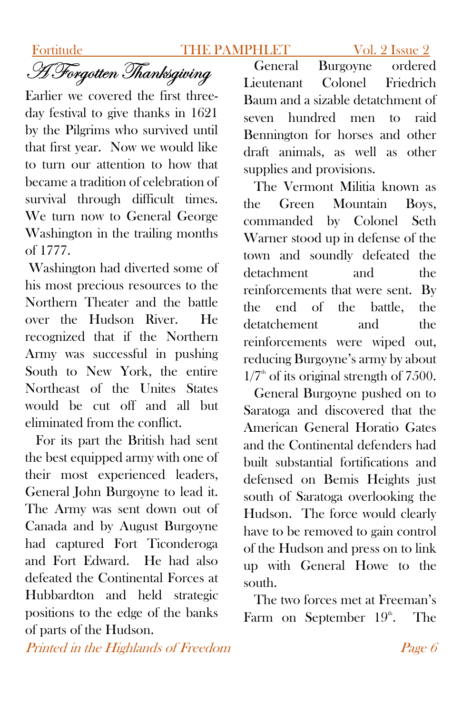A Forgotten Thanksgiving

Earlier we covered the first threeday festival to give thanks in 1621 by the Pilgrims who survived until that first year. Now we would like to turn our attention to how that became a tradition of celebration of survival through difficult times. We turn now to General George Washington in the trailing months of 1777.

 Washington had diverted some of his most precious resources to the Northern Theater and the battle over the Hudson River. He recognized that if the Northern Army was successful in pushing South to New York, the entire Northeast of the Unites States would be cut off and all but eliminated from the conflict.

 For its part the British had sent the best equipped army with one of their most experienced leaders, General John Burgoyne to lead it. The Army was sent down out of Canada and by August Burgoyne had captured Fort Ticonderoga and Fort Edward. He had also defeated the Continental Forces at Hubbardton and held strategic positions to the edge of the banks of parts of the Hudson.

 General Burgoyne ordered Lieutenant Colonel Friedrich Baum and a sizable detatchment of seven hundred men to raid Bennington for horses and other draft animals, as well as other supplies and provisions.

 The Vermont Militia known as the Green Mountain Boys, commanded by Colonel Seth Warner stood up in defense of the town and soundly defeated the detachment and the reinforcements that were sent. By the end of the battle, the detatchement and the reinforcements were wiped out, reducing Burgoyne's army by about  $1/7<sup>th</sup>$  of its original strength of 7500.

 General Burgoyne pushed on to Saratoga and discovered that the American General Horatio Gates and the Continental defenders had built substantial fortifications and defensed on Bemis Heights just south of Saratoga overlooking the Hudson. The force would clearly have to be removed to gain control of the Hudson and press on to link up with General Howe to the south.

 The two forces met at Freeman's Farm on September  $19^{\circ}$ . The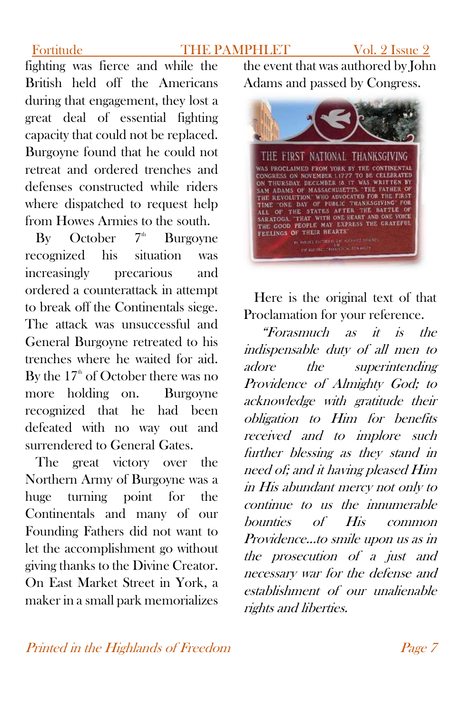fighting was fierce and while  $\overline{the}$ British held off the Americans during that engagement, they lost a great deal of essential fighting capacity that could not be replaced. Burgoyne found that he could not retreat and ordered trenches and defenses constructed while riders where dispatched to request help from Howes Armies to the south.

 $Bv$  October  $7<sup>th</sup>$  Burgoyne recognized his situation was increasingly precarious and ordered a counterattack in attempt to break off the Continentals siege. The attack was unsuccessful and General Burgoyne retreated to his trenches where he waited for aid. By the  $17<sup>th</sup>$  of October there was no more holding on. Burgoyne recognized that he had been defeated with no way out and surrendered to General Gates.

 The great victory over the Northern Army of Burgoyne was a huge turning point for the Continentals and many of our Founding Fathers did not want to let the accomplishment go without giving thanks to the Divine Creator. On East Market Street in York, a maker in a small park memorializes

the event that was authored by John Adams and passed by Congress.



 Here is the original text of that Proclamation for your reference.

 "Forasmuch as it is the indispensable duty of all men to adore the superintending Providence of Almighty God; to acknowledge with gratitude their obligation to Him for benefits received and to implore such further blessing as they stand in need of; and it having pleased Him in His abundant mercy not only to continue to us the innumerable bounties of His common Providence...to smile upon us as in the prosecution of a just and necessary war for the defense and establishment of our unalienable rights and liberties.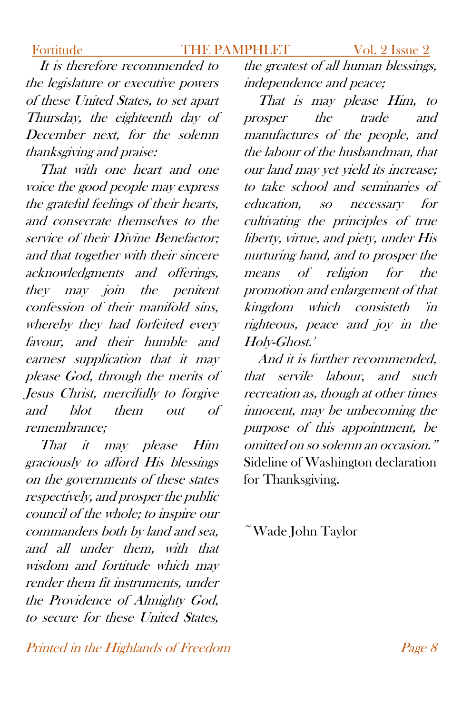$\overline{I}$  *It is therefore recommended to* the legislature or executive powers of these United States, to set apart Thursday, the eighteenth day of December next, for the solemn thanksgiving and praise:

 That with one heart and one voice the good people may express the grateful feelings of their hearts, and consecrate themselves to the service of their Divine Benefactor; and that together with their sincere acknowledgments and offerings, they may join the penitent confession of their manifold sins, whereby they had forfeited every favour, and their humble and earnest supplication that it may please God, through the merits of Jesus Christ, mercifully to forgive and blot them out of remembrance;

 That it may please Him graciously to afford His blessings on the governments of these states respectively, and prosper the public council of the whole; to inspire our commanders both by land and sea, and all under them, with that wisdom and fortitude which may render them fit instruments, under the Providence of Almighty God, to secure for these United States,

the greatest of all human blessings, independence and peace;

 That is may please Him, to prosper the trade and manufactures of the people, and the labour of the husbandman, that our land may yet yield its increase; to take school and seminaries of education, so necessary for cultivating the principles of true liberty, virtue, and piety, under His nurturing hand, and to prosper the means of religion for the promotion and enlargement of that kingdom which consisteth 'in righteous, peace and joy in the Holy-Ghost.'

 And it is further recommended, that servile labour, and such recreation as, though at other times innocent, may be unbecoming the purpose of this appointment, be omitted on so solemn an occasion." Sideline of Washington declaration for Thanksgiving.

~Wade John Taylor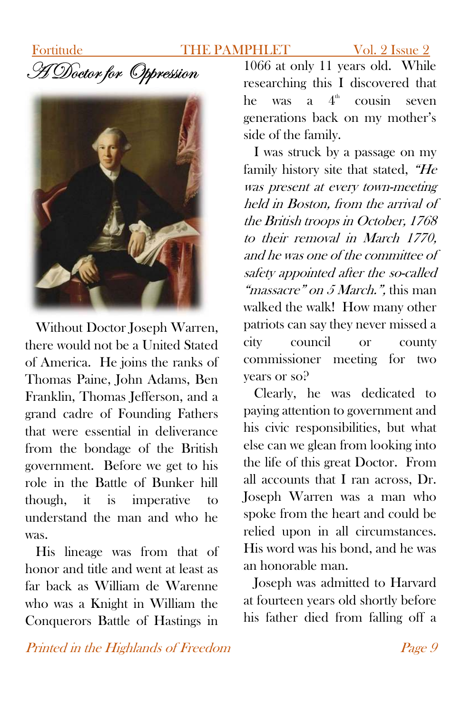## A Doctor for Oppression



 Without Doctor Joseph Warren, there would not be a United Stated of America. He joins the ranks of Thomas Paine, John Adams, Ben Franklin, Thomas Jefferson, and a grand cadre of Founding Fathers that were essential in deliverance from the bondage of the British government. Before we get to his role in the Battle of Bunker hill though, it is imperative to understand the man and who he was.

 His lineage was from that of honor and title and went at least as far back as William de Warenne who was a Knight in William the Conquerors Battle of Hastings in

1066 at only 11 years old. While researching this I discovered that he was a  $4<sup>th</sup>$  cousin seven generations back on my mother's side of the family.

 I was struck by a passage on my family history site that stated, "He was present at every town-meeting held in Boston, from the arrival of the British troops in October, 1768 to their removal in March 1770, and he was one of the committee of safety appointed after the so-called "*massacre" on 5 March."* this man walked the walk! How many other patriots can say they never missed a city council or county commissioner meeting for two years or so?

 Clearly, he was dedicated to paying attention to government and his civic responsibilities, but what else can we glean from looking into the life of this great Doctor. From all accounts that I ran across, Dr. Joseph Warren was a man who spoke from the heart and could be relied upon in all circumstances. His word was his bond, and he was an honorable man.

 Joseph was admitted to Harvard at fourteen years old shortly before his father died from falling off a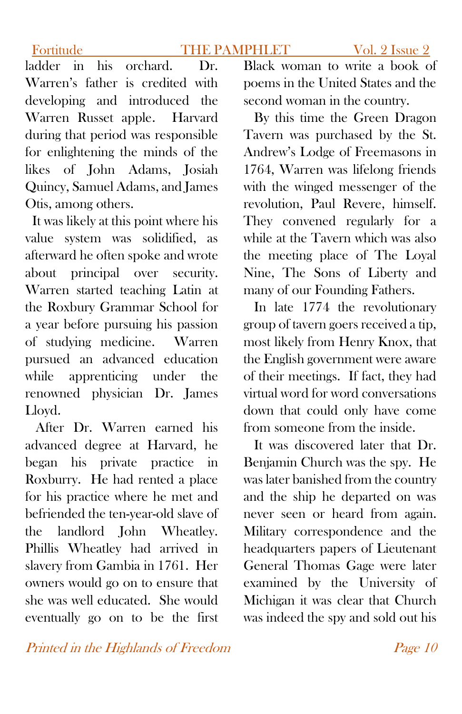ladder in his orchard. Dr. Warren's father is credited with developing and introduced the Warren Russet apple. Harvard during that period was responsible for enlightening the minds of the likes of John Adams, Josiah Quincy, Samuel Adams, and James Otis, among others.

 It was likely at this point where his value system was solidified, as afterward he often spoke and wrote about principal over security. Warren started teaching Latin at the Roxbury Grammar School for a year before pursuing his passion of studying medicine. Warren pursued an advanced education while apprenticing under the renowned physician Dr. James Lloyd.

 After Dr. Warren earned his advanced degree at Harvard, he began his private practice in Roxburry. He had rented a place for his practice where he met and befriended the ten-year-old slave of the landlord John Wheatley. Phillis Wheatley had arrived in slavery from Gambia in 1761. Her owners would go on to ensure that she was well educated. She would eventually go on to be the first

Fortitude THE PAMPHLET Vol. 2 Issue 2<br>adder in his orchard. Dr. Black woman to write a book of Black woman to write a book of poems in the United States and the second woman in the country.

> By this time the Green Dragon Tavern was purchased by the St. Andrew's Lodge of Freemasons in 1764, Warren was lifelong friends with the winged messenger of the revolution, Paul Revere, himself. They convened regularly for a while at the Tavern which was also the meeting place of The Loyal Nine, The Sons of Liberty and many of our Founding Fathers.

> In late 1774 the revolutionary group of tavern goers received a tip, most likely from Henry Knox, that the English government were aware of their meetings. If fact, they had virtual word for word conversations down that could only have come from someone from the inside.

> It was discovered later that Dr. Benjamin Church was the spy. He was later banished from the country and the ship he departed on was never seen or heard from again. Military correspondence and the headquarters papers of Lieutenant General Thomas Gage were later examined by the University of Michigan it was clear that Church was indeed the spy and sold out his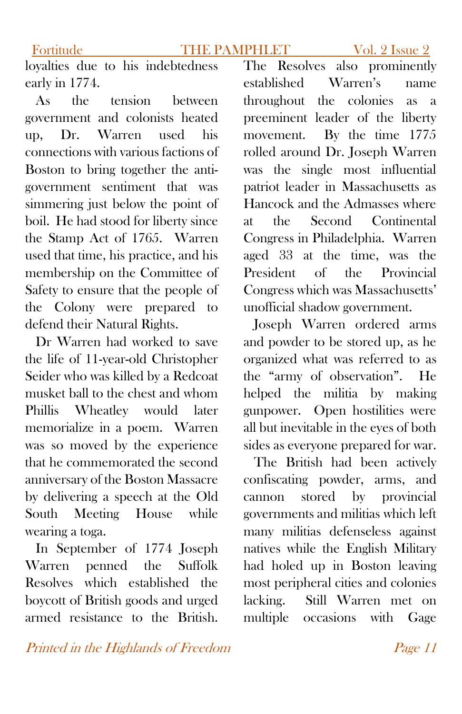loyalties due to his indebtedness early in 1774.

 As the tension between government and colonists heated up, Dr. Warren used his connections with various factions of Boston to bring together the antigovernment sentiment that was simmering just below the point of boil. He had stood for liberty since the Stamp Act of 1765. Warren used that time, his practice, and his membership on the Committee of Safety to ensure that the people of the Colony were prepared to defend their Natural Rights.

 Dr Warren had worked to save the life of 11-year-old Christopher Seider who was killed by a Redcoat musket ball to the chest and whom Phillis Wheatley would later memorialize in a poem. Warren was so moved by the experience that he commemorated the second anniversary of the Boston Massacre by delivering a speech at the Old South Meeting House while wearing a toga.

 In September of 1774 Joseph Warren penned the Suffolk Resolves which established the boycott of British goods and urged armed resistance to the British.

The Resolves also prominently established Warren's name throughout the colonies as a preeminent leader of the liberty movement. By the time 1775 rolled around Dr. Joseph Warren was the single most influential patriot leader in Massachusetts as Hancock and the Admasses where at the Second Continental Congress in Philadelphia. Warren aged 33 at the time, was the President of the Provincial Congress which was Massachusetts' unofficial shadow government.

 Joseph Warren ordered arms and powder to be stored up, as he organized what was referred to as the "army of observation". He helped the militia by making gunpower. Open hostilities were all but inevitable in the eyes of both sides as everyone prepared for war.

 The British had been actively confiscating powder, arms, and cannon stored by provincial governments and militias which left many militias defenseless against natives while the English Military had holed up in Boston leaving most peripheral cities and colonies lacking. Still Warren met on multiple occasions with Gage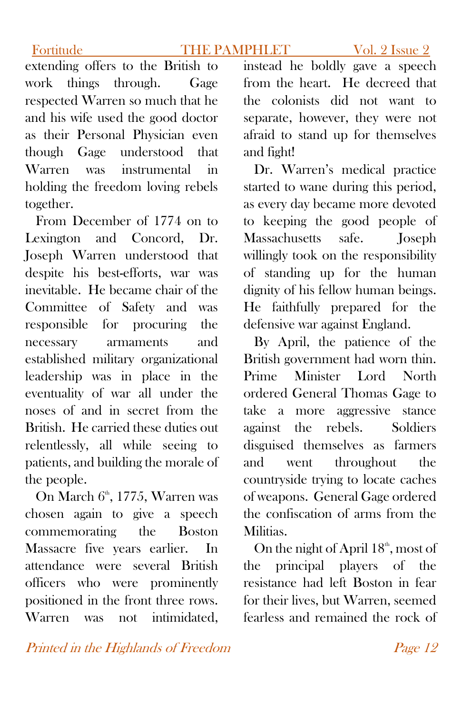work things through. Gage respected Warren so much that he and his wife used the good doctor as their Personal Physician even though Gage understood that Warren was instrumental in holding the freedom loving rebels together.

 From December of 1774 on to Lexington and Concord, Dr. Joseph Warren understood that despite his best-efforts, war was inevitable. He became chair of the Committee of Safety and was responsible for procuring the necessary armaments and established military organizational leadership was in place in the eventuality of war all under the noses of and in secret from the British. He carried these duties out relentlessly, all while seeing to patients, and building the morale of the people.

On March 6<sup>th</sup>, 1775, Warren was chosen again to give a speech commemorating the Boston Massacre five years earlier. In attendance were several British officers who were prominently positioned in the front three rows. Warren was not intimidated,

extending offers to the British to instead he boldly gave a speech from the heart. He decreed that the colonists did not want to separate, however, they were not afraid to stand up for themselves and fight!

> Dr. Warren's medical practice started to wane during this period, as every day became more devoted to keeping the good people of Massachusetts safe. Joseph willingly took on the responsibility of standing up for the human dignity of his fellow human beings. He faithfully prepared for the defensive war against England.

> By April, the patience of the British government had worn thin. Prime Minister Lord North ordered General Thomas Gage to take a more aggressive stance against the rebels. Soldiers disguised themselves as farmers and went throughout the countryside trying to locate caches of weapons. General Gage ordered the confiscation of arms from the Militias.

> On the night of April  $18<sup>th</sup>$ , most of the principal players of the resistance had left Boston in fear for their lives, but Warren, seemed fearless and remained the rock of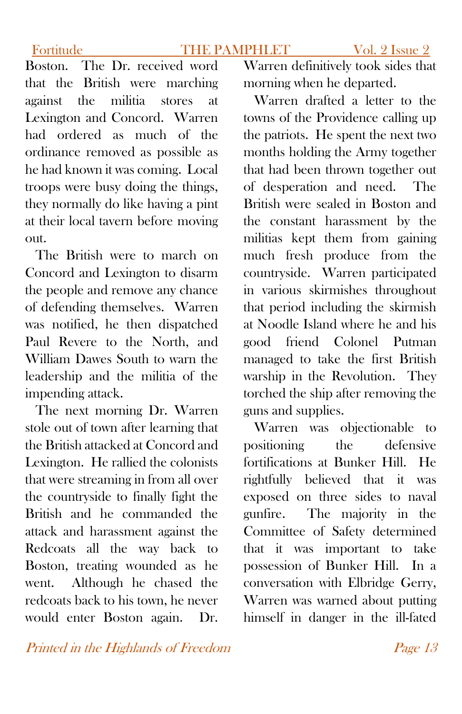Boston. The Dr. received word that the British were marching against the militia stores at Lexington and Concord. Warren had ordered as much of the ordinance removed as possible as he had known it was coming. Local troops were busy doing the things, they normally do like having a pint at their local tavern before moving out.

 The British were to march on Concord and Lexington to disarm the people and remove any chance of defending themselves. Warren was notified, he then dispatched Paul Revere to the North, and William Dawes South to warn the leadership and the militia of the impending attack.

 The next morning Dr. Warren stole out of town after learning that the British attacked at Concord and Lexington. He rallied the colonists that were streaming in from all over the countryside to finally fight the British and he commanded the attack and harassment against the Redcoats all the way back to Boston, treating wounded as he went. Although he chased the redcoats back to his town, he never would enter Boston again. Dr.

Warren definitively took sides that morning when he departed.

 Warren drafted a letter to the towns of the Providence calling up the patriots. He spent the next two months holding the Army together that had been thrown together out of desperation and need. The British were sealed in Boston and the constant harassment by the militias kept them from gaining much fresh produce from the countryside. Warren participated in various skirmishes throughout that period including the skirmish at Noodle Island where he and his good friend Colonel Putman managed to take the first British warship in the Revolution. They torched the ship after removing the guns and supplies.

 Warren was objectionable to positioning the defensive fortifications at Bunker Hill. He rightfully believed that it was exposed on three sides to naval gunfire. The majority in the Committee of Safety determined that it was important to take possession of Bunker Hill. In a conversation with Elbridge Gerry, Warren was warned about putting himself in danger in the ill-fated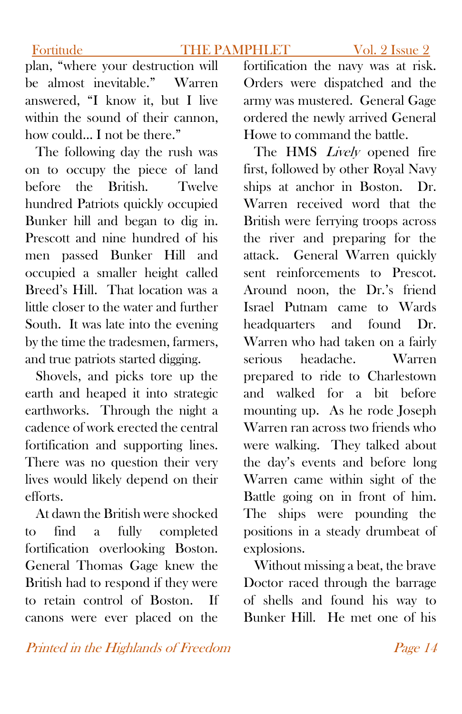plan, "where your destruction will be almost inevitable." Warren answered, "I know it, but I live within the sound of their cannon. how could… I not be there."

 The following day the rush was on to occupy the piece of land before the British. Twelve hundred Patriots quickly occupied Bunker hill and began to dig in. Prescott and nine hundred of his men passed Bunker Hill and occupied a smaller height called Breed's Hill. That location was a little closer to the water and further South. It was late into the evening by the time the tradesmen, farmers, and true patriots started digging.

 Shovels, and picks tore up the earth and heaped it into strategic earthworks. Through the night a cadence of work erected the central fortification and supporting lines. There was no question their very lives would likely depend on their efforts.

 At dawn the British were shocked to find a fully completed fortification overlooking Boston. General Thomas Gage knew the British had to respond if they were to retain control of Boston. If canons were ever placed on the

fortification the navy was at risk. Orders were dispatched and the army was mustered. General Gage ordered the newly arrived General Howe to command the battle.

The HMS *Lively* opened fire first, followed by other Royal Navy ships at anchor in Boston. Dr. Warren received word that the British were ferrying troops across the river and preparing for the attack. General Warren quickly sent reinforcements to Prescot. Around noon, the Dr.'s friend Israel Putnam came to Wards headquarters and found Dr. Warren who had taken on a fairly serious headache. Warren prepared to ride to Charlestown and walked for a bit before mounting up. As he rode Joseph Warren ran across two friends who were walking. They talked about the day's events and before long Warren came within sight of the Battle going on in front of him. The ships were pounding the positions in a steady drumbeat of explosions.

 Without missing a beat, the brave Doctor raced through the barrage of shells and found his way to Bunker Hill. He met one of his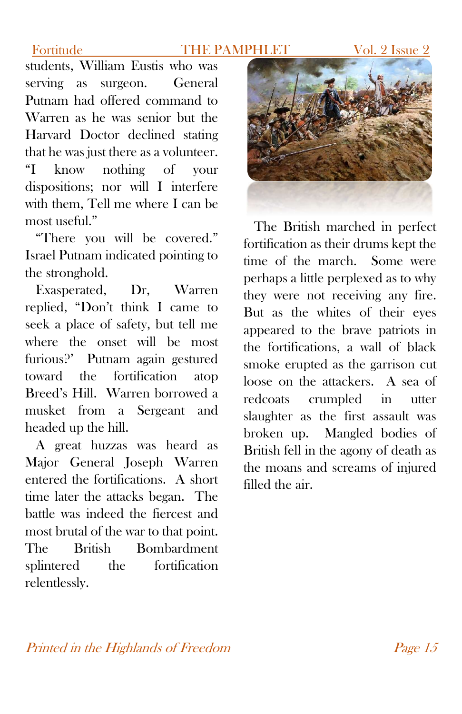students, William Eustis who was serving as surgeon. General Putnam had offered command to Warren as he was senior but the Harvard Doctor declined stating that he was just there as a volunteer. "I know nothing of your dispositions; nor will I interfere with them, Tell me where I can be most useful."

 "There you will be covered." Israel Putnam indicated pointing to the stronghold.

 Exasperated, Dr, Warren replied, "Don't think I came to seek a place of safety, but tell me where the onset will be most furious?' Putnam again gestured toward the fortification atop Breed's Hill. Warren borrowed a musket from a Sergeant and headed up the hill.

 A great huzzas was heard as Major General Joseph Warren entered the fortifications. A short time later the attacks began. The battle was indeed the fiercest and most brutal of the war to that point. The British Bombardment splintered the fortification relentlessly.



 The British marched in perfect fortification as their drums kept the time of the march. Some were perhaps a little perplexed as to why they were not receiving any fire. But as the whites of their eyes appeared to the brave patriots in the fortifications, a wall of black smoke erupted as the garrison cut loose on the attackers. A sea of redcoats crumpled in utter slaughter as the first assault was broken up. Mangled bodies of British fell in the agony of death as the moans and screams of injured filled the air.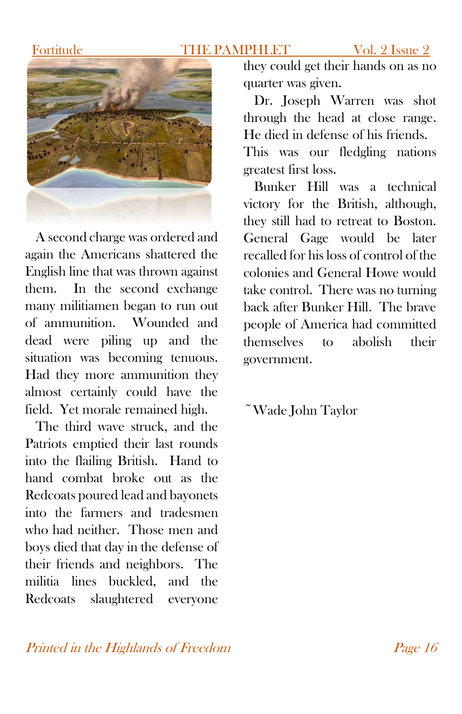

 A second charge was ordered and again the Americans shattered the English line that was thrown against them. In the second exchange many militiamen began to run out of ammunition. Wounded and dead were piling up and the situation was becoming tenuous. Had they more ammunition they almost certainly could have the field. Yet morale remained high.

 The third wave struck, and the Patriots emptied their last rounds into the flailing British. Hand to hand combat broke out as the Redcoats poured lead and bayonets into the farmers and tradesmen who had neither. Those men and boys died that day in the defense of their friends and neighbors. The militia lines buckled, and the Redcoats slaughtered everyone

they could get their hands on as no quarter was given.

 Dr. Joseph Warren was shot through the head at close range. He died in defense of his friends.

This was our fledgling nations greatest first loss.

 Bunker Hill was a technical victory for the British, although, they still had to retreat to Boston. General Gage would be later recalled for his loss of control of the colonies and General Howe would take control. There was no turning back after Bunker Hill. The brave people of America had committed themselves to abolish their government.

~Wade John Taylor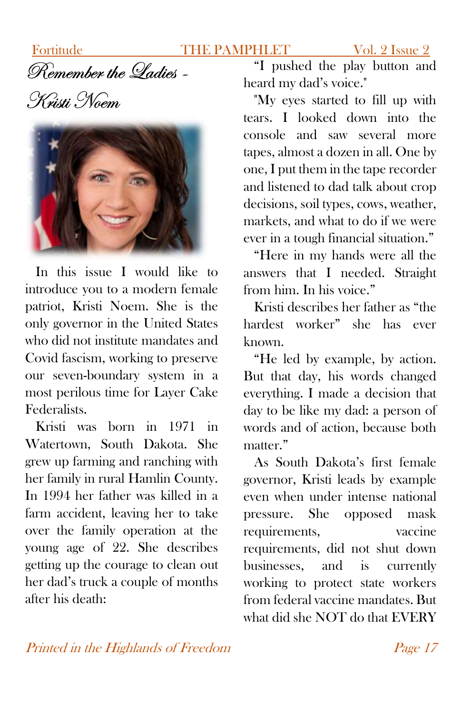## Remember the Ladies - Kristi Noem



 In this issue I would like to introduce you to a modern female patriot, Kristi Noem. She is the only governor in the United States who did not institute mandates and Covid fascism, working to preserve our seven-boundary system in a most perilous time for Layer Cake Federalists.

 Kristi was born in 1971 in Watertown, South Dakota. She grew up farming and ranching with her family in rural Hamlin County. In 1994 her father was killed in a farm accident, leaving her to take over the family operation at the young age of 22. She describes getting up the courage to clean out her dad's truck a couple of months after his death:

 "I pushed the play button and heard my dad's voice."

 "My eyes started to fill up with tears. I looked down into the console and saw several more tapes, almost a dozen in all. One by one, I put them in the tape recorder and listened to dad talk about crop decisions, soil types, cows, weather, markets, and what to do if we were ever in a tough financial situation."

 "Here in my hands were all the answers that I needed. Straight from him. In his voice."

 Kristi describes her father as "the hardest worker" she has ever known.

 "He led by example, by action. But that day, his words changed everything. I made a decision that day to be like my dad: a person of words and of action, because both matter."

 As South Dakota's first female governor, Kristi leads by example even when under intense national pressure. She opposed mask requirements, vaccine requirements, did not shut down businesses, and is currently working to protect state workers from federal vaccine mandates. But what did she NOT do that EVERY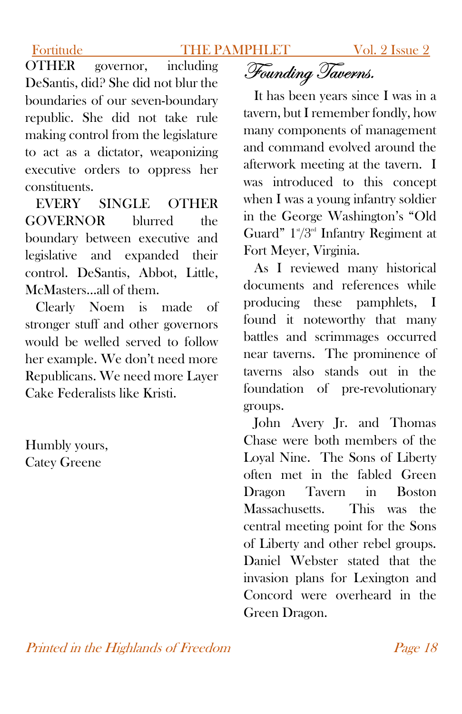OTHER governor, including DeSantis, did? She did not blur the boundaries of our seven-boundary republic. She did not take rule making control from the legislature to act as a dictator, weaponizing executive orders to oppress her constituents.

 EVERY SINGLE OTHER GOVERNOR blurred the boundary between executive and legislative and expanded their control. DeSantis, Abbot, Little, McMasters…all of them.

 Clearly Noem is made of stronger stuff and other governors would be welled served to follow her example. We don't need more Republicans. We need more Layer Cake Federalists like Kristi.

Humbly yours, Catey Greene

Founding Taverns.

 It has been years since I was in a tavern, but I remember fondly, how many components of management and command evolved around the afterwork meeting at the tavern. I was introduced to this concept when I was a young infantry soldier in the George Washington's "Old Guard"  $1\frac{s}{3}$ d Infantry Regiment at Fort Meyer, Virginia.

 As I reviewed many historical documents and references while producing these pamphlets, I found it noteworthy that many battles and scrimmages occurred near taverns. The prominence of taverns also stands out in the foundation of pre-revolutionary groups.

 John Avery Jr. and Thomas Chase were both members of the Loyal Nine. The Sons of Liberty often met in the fabled Green Dragon Tavern in Boston Massachusetts. This was the central meeting point for the Sons of Liberty and other rebel groups. Daniel Webster stated that the invasion plans for Lexington and Concord were overheard in the Green Dragon.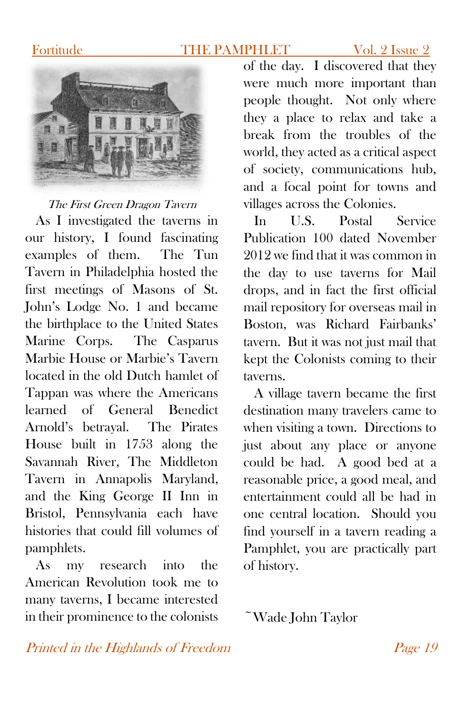

The First Green Dragon Tavern

 As I investigated the taverns in our history, I found fascinating examples of them. The Tun Tavern in Philadelphia hosted the first meetings of Masons of St. John's Lodge No. 1 and became the birthplace to the United States Marine Corps. The Casparus Marbie House or Marbie's Tavern located in the old Dutch hamlet of Tappan was where the Americans learned of General Benedict Arnold's betrayal. The Pirates House built in 1753 along the Savannah River, The Middleton Tavern in Annapolis Maryland, and the King George II Inn in Bristol, Pennsylvania each have histories that could fill volumes of pamphlets.

 As my research into the American Revolution took me to many taverns, I became interested in their prominence to the colonists

of the day. I discovered that they were much more important than people thought. Not only where they a place to relax and take a break from the troubles of the world, they acted as a critical aspect of society, communications hub, and a focal point for towns and villages across the Colonies.

 In U.S. Postal Service Publication 100 dated November 2012 we find that it was common in the day to use taverns for Mail drops, and in fact the first official mail repository for overseas mail in Boston, was Richard Fairbanks' tavern. But it was not just mail that kept the Colonists coming to their taverns.

 A village tavern became the first destination many travelers came to when visiting a town. Directions to just about any place or anyone could be had. A good bed at a reasonable price, a good meal, and entertainment could all be had in one central location. Should you find yourself in a tavern reading a Pamphlet, you are practically part of history.

~Wade John Taylor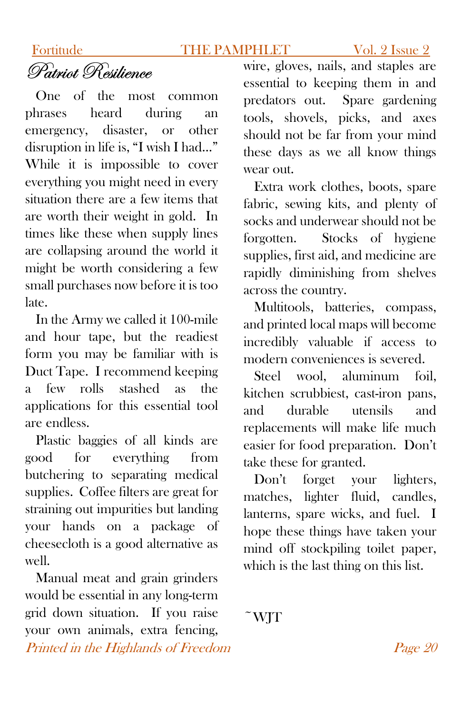## Patriot Resilience

 One of the most common phrases heard during an emergency, disaster, or other disruption in life is, "I wish I had…" While it is impossible to cover everything you might need in every situation there are a few items that are worth their weight in gold. In times like these when supply lines are collapsing around the world it might be worth considering a few small purchases now before it is too late.

 In the Army we called it 100-mile and hour tape, but the readiest form you may be familiar with is Duct Tape. I recommend keeping a few rolls stashed as the applications for this essential tool are endless.

 Plastic baggies of all kinds are good for everything from butchering to separating medical supplies. Coffee filters are great for straining out impurities but landing your hands on a package of cheesecloth is a good alternative as well.

Printed in the Highlands of Freedom Page 20 Manual meat and grain grinders would be essential in any long-term grid down situation. If you raise your own animals, extra fencing,

wire, gloves, nails, and staples are essential to keeping them in and predators out. Spare gardening tools, shovels, picks, and axes should not be far from your mind these days as we all know things wear out.

 Extra work clothes, boots, spare fabric, sewing kits, and plenty of socks and underwear should not be forgotten. Stocks of hygiene supplies, first aid, and medicine are rapidly diminishing from shelves across the country.

 Multitools, batteries, compass, and printed local maps will become incredibly valuable if access to modern conveniences is severed.

 Steel wool, aluminum foil, kitchen scrubbiest, cast-iron pans, and durable utensils and replacements will make life much easier for food preparation. Don't take these for granted.

Don't forget your lighters, matches, lighter fluid, candles, lanterns, spare wicks, and fuel. I hope these things have taken your mind off stockpiling toilet paper, which is the last thing on this list.

 $\tilde{~}$  WJT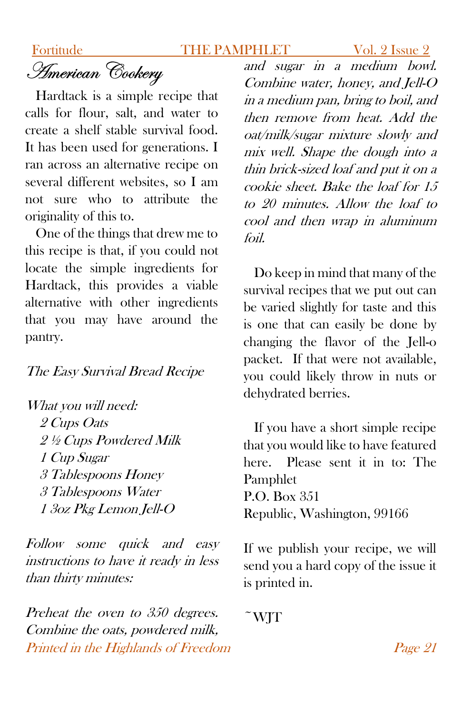

 Hardtack is a simple recipe that calls for flour, salt, and water to create a shelf stable survival food. It has been used for generations. I ran across an alternative recipe on several different websites, so I am not sure who to attribute the originality of this to.

 One of the things that drew me to this recipe is that, if you could not locate the simple ingredients for Hardtack, this provides a viable alternative with other ingredients that you may have around the pantry.

### The Easy Survival Bread Recipe

What you will need: 2 Cups Oats 2 ½ Cups Powdered Milk 1 Cup Sugar 3 Tablespoons Honey 3 Tablespoons Water 1 3oz Pkg Lemon Jell-O

Follow some quick and easy instructions to have it ready in less than thirty minutes:

Printed in the Highlands of Freedom Page 21 Preheat the oven to 350 degrees. Combine the oats, powdered milk,

and sugar in a medium bowl. Combine water, honey, and Jell-O in a medium pan, bring to boil, and then remove from heat. Add the oat/milk/sugar mixture slowly and mix well. Shape the dough into a thin brick-sized loaf and put it on a cookie sheet. Bake the loaf for 15 to 20 minutes. Allow the loaf to cool and then wrap in aluminum foil.

 Do keep in mind that many of the survival recipes that we put out can be varied slightly for taste and this is one that can easily be done by changing the flavor of the Jell-o packet. If that were not available, you could likely throw in nuts or dehydrated berries.

 If you have a short simple recipe that you would like to have featured here. Please sent it in to: The Pamphlet P.O. Box 351 Republic, Washington, 99166

If we publish your recipe, we will send you a hard copy of the issue it is printed in.

 $\tilde{~}$  WJT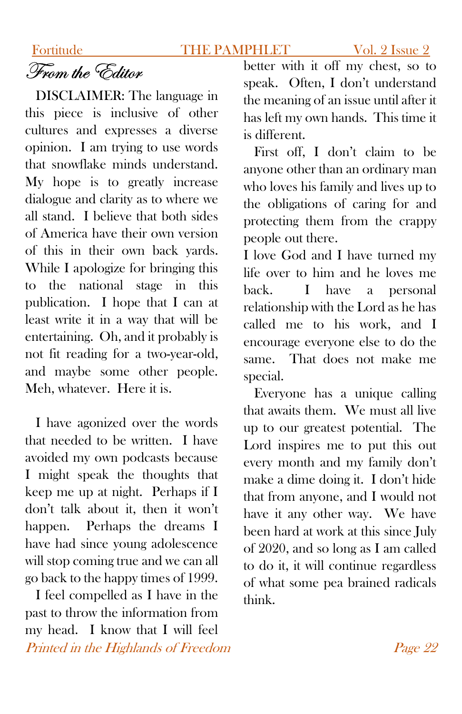## From the Editor

 DISCLAIMER: The language in this piece is inclusive of other cultures and expresses a diverse opinion. I am trying to use words that snowflake minds understand. My hope is to greatly increase dialogue and clarity as to where we all stand. I believe that both sides of America have their own version of this in their own back yards. While I apologize for bringing this to the national stage in this publication. I hope that I can at least write it in a way that will be entertaining. Oh, and it probably is not fit reading for a two-year-old, and maybe some other people. Meh, whatever. Here it is.

 I have agonized over the words that needed to be written. I have avoided my own podcasts because I might speak the thoughts that keep me up at night. Perhaps if I don't talk about it, then it won't happen. Perhaps the dreams I have had since young adolescence will stop coming true and we can all go back to the happy times of 1999.

Printed in the Highlands of Freedom Page 22 I feel compelled as I have in the past to throw the information from my head. I know that I will feel

better with it off my chest, so to speak. Often, I don't understand the meaning of an issue until after it has left my own hands. This time it is different.

 First off, I don't claim to be anyone other than an ordinary man who loves his family and lives up to the obligations of caring for and protecting them from the crappy people out there.

I love God and I have turned my life over to him and he loves me back. I have a personal relationship with the Lord as he has called me to his work, and I encourage everyone else to do the same. That does not make me special.

 Everyone has a unique calling that awaits them. We must all live up to our greatest potential. The Lord inspires me to put this out every month and my family don't make a dime doing it. I don't hide that from anyone, and I would not have it any other way. We have been hard at work at this since July of 2020, and so long as I am called to do it, it will continue regardless of what some pea brained radicals think.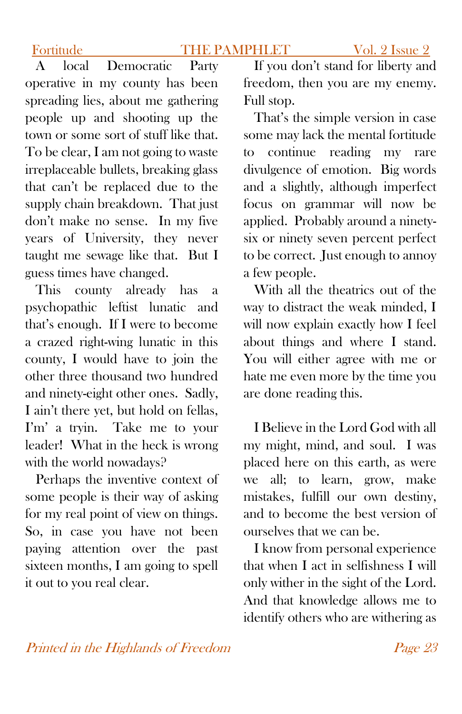A local Democratic Party operative in my county has been spreading lies, about me gathering people up and shooting up the town or some sort of stuff like that. To be clear, I am not going to waste irreplaceable bullets, breaking glass that can't be replaced due to the supply chain breakdown. That just don't make no sense. In my five years of University, they never taught me sewage like that. But I guess times have changed.

 This county already has a psychopathic leftist lunatic and that's enough. If I were to become a crazed right-wing lunatic in this county, I would have to join the other three thousand two hundred and ninety-eight other ones. Sadly, I ain't there yet, but hold on fellas, I'm' a tryin. Take me to your leader! What in the heck is wrong with the world nowadays?

 Perhaps the inventive context of some people is their way of asking for my real point of view on things. So, in case you have not been paying attention over the past sixteen months, I am going to spell it out to you real clear.

 If you don't stand for liberty and freedom, then you are my enemy. Full stop.

 That's the simple version in case some may lack the mental fortitude to continue reading my rare divulgence of emotion. Big words and a slightly, although imperfect focus on grammar will now be applied. Probably around a ninetysix or ninety seven percent perfect to be correct. Just enough to annoy a few people.

 With all the theatrics out of the way to distract the weak minded, I will now explain exactly how I feel about things and where I stand. You will either agree with me or hate me even more by the time you are done reading this.

 I Believe in the Lord God with all my might, mind, and soul. I was placed here on this earth, as were we all; to learn, grow, make mistakes, fulfill our own destiny, and to become the best version of ourselves that we can be.

 I know from personal experience that when I act in selfishness I will only wither in the sight of the Lord. And that knowledge allows me to identify others who are withering as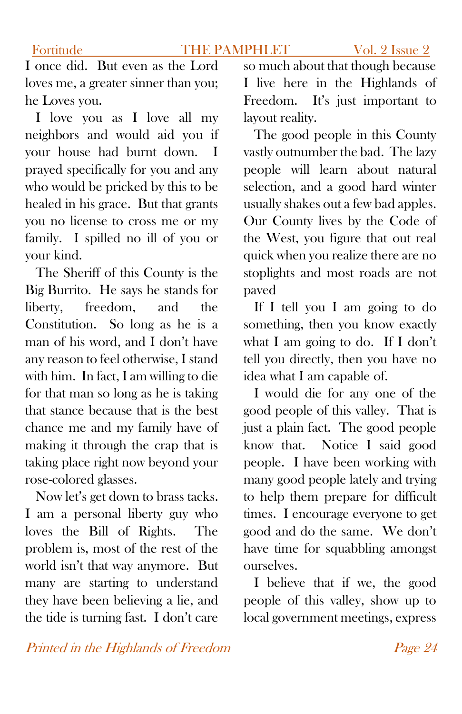I once did. But even as the Lord loves me, a greater sinner than you; he Loves you.

 I love you as I love all my neighbors and would aid you if your house had burnt down. I prayed specifically for you and any who would be pricked by this to be healed in his grace. But that grants you no license to cross me or my family. I spilled no ill of you or your kind.

 The Sheriff of this County is the Big Burrito. He says he stands for liberty, freedom, and the Constitution. So long as he is a man of his word, and I don't have any reason to feel otherwise, I stand with him. In fact, I am willing to die for that man so long as he is taking that stance because that is the best chance me and my family have of making it through the crap that is taking place right now beyond your rose-colored glasses.

 Now let's get down to brass tacks. I am a personal liberty guy who loves the Bill of Rights. The problem is, most of the rest of the world isn't that way anymore. But many are starting to understand they have been believing a lie, and the tide is turning fast. I don't care

so much about that though because I live here in the Highlands of Freedom. It's just important to layout reality.

 The good people in this County vastly outnumber the bad. The lazy people will learn about natural selection, and a good hard winter usually shakes out a few bad apples. Our County lives by the Code of the West, you figure that out real quick when you realize there are no stoplights and most roads are not paved

 If I tell you I am going to do something, then you know exactly what I am going to do. If I don't tell you directly, then you have no idea what I am capable of.

 I would die for any one of the good people of this valley. That is just a plain fact. The good people know that. Notice I said good people. I have been working with many good people lately and trying to help them prepare for difficult times. I encourage everyone to get good and do the same. We don't have time for squabbling amongst ourselves.

 I believe that if we, the good people of this valley, show up to local government meetings, express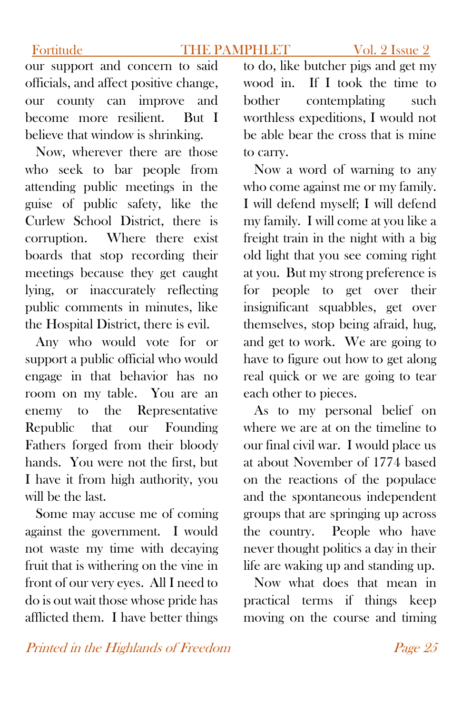our support and concern to said officials, and affect positive change, our county can improve and become more resilient. But I believe that window is shrinking.

 Now, wherever there are those who seek to bar people from attending public meetings in the guise of public safety, like the Curlew School District, there is corruption. Where there exist boards that stop recording their meetings because they get caught lying, or inaccurately reflecting public comments in minutes, like the Hospital District, there is evil.

 Any who would vote for or support a public official who would engage in that behavior has no room on my table. You are an enemy to the Representative Republic that our Founding Fathers forged from their bloody hands. You were not the first, but I have it from high authority, you will be the last.

 Some may accuse me of coming against the government. I would not waste my time with decaying fruit that is withering on the vine in front of our very eyes. All I need to do is out wait those whose pride has afflicted them. I have better things

to do, like butcher pigs and get my wood in. If I took the time to bother contemplating such worthless expeditions, I would not be able bear the cross that is mine to carry.

 Now a word of warning to any who come against me or my family. I will defend myself; I will defend my family. I will come at you like a freight train in the night with a big old light that you see coming right at you. But my strong preference is for people to get over their insignificant squabbles, get over themselves, stop being afraid, hug, and get to work. We are going to have to figure out how to get along real quick or we are going to tear each other to pieces.

 As to my personal belief on where we are at on the timeline to our final civil war. I would place us at about November of 1774 based on the reactions of the populace and the spontaneous independent groups that are springing up across the country. People who have never thought politics a day in their life are waking up and standing up.

 Now what does that mean in practical terms if things keep moving on the course and timing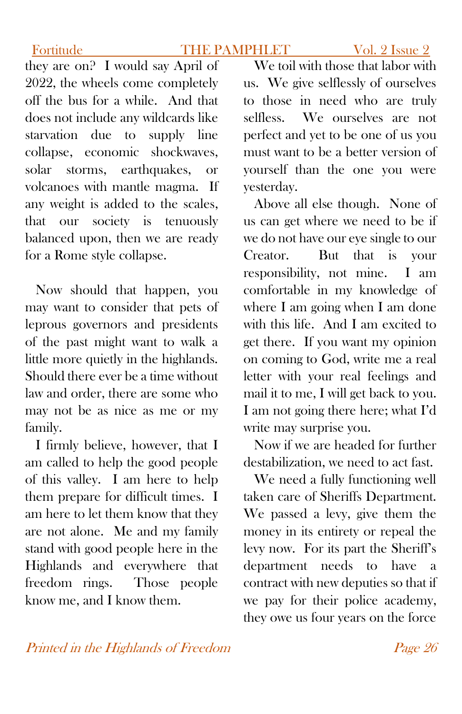they are on? I would say April of 2022, the wheels come completely off the bus for a while. And that does not include any wildcards like starvation due to supply line collapse, economic shockwaves, solar storms, earthquakes, or volcanoes with mantle magma. If any weight is added to the scales, that our society is tenuously balanced upon, then we are ready for a Rome style collapse.

 Now should that happen, you may want to consider that pets of leprous governors and presidents of the past might want to walk a little more quietly in the highlands. Should there ever be a time without law and order, there are some who may not be as nice as me or my family.

 I firmly believe, however, that I am called to help the good people of this valley. I am here to help them prepare for difficult times. I am here to let them know that they are not alone. Me and my family stand with good people here in the Highlands and everywhere that freedom rings. Those people know me, and I know them.

 We toil with those that labor with us. We give selflessly of ourselves to those in need who are truly selfless. We ourselves are not perfect and yet to be one of us you must want to be a better version of yourself than the one you were yesterday.

 Above all else though. None of us can get where we need to be if we do not have our eye single to our Creator. But that is your responsibility, not mine. I am comfortable in my knowledge of where I am going when I am done with this life. And I am excited to get there. If you want my opinion on coming to God, write me a real letter with your real feelings and mail it to me, I will get back to you. I am not going there here; what I'd write may surprise you.

 Now if we are headed for further destabilization, we need to act fast.

 We need a fully functioning well taken care of Sheriffs Department. We passed a levy, give them the money in its entirety or repeal the levy now. For its part the Sheriff's department needs to have a contract with new deputies so that if we pay for their police academy, they owe us four years on the force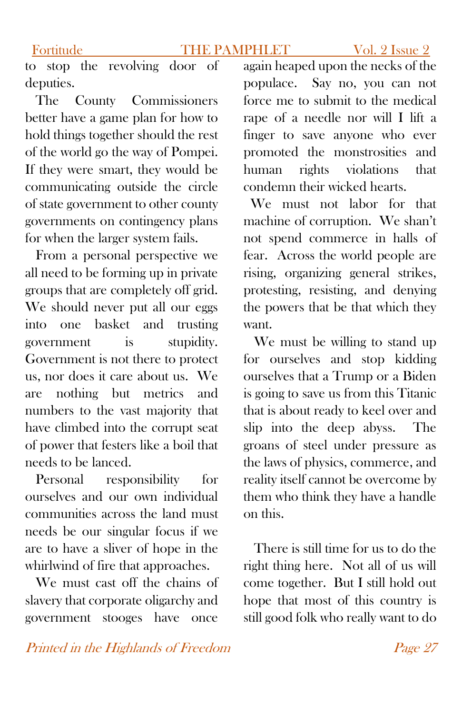to stop the revolving door of deputies.

 The County Commissioners better have a game plan for how to hold things together should the rest of the world go the way of Pompei. If they were smart, they would be communicating outside the circle of state government to other county governments on contingency plans for when the larger system fails.

 From a personal perspective we all need to be forming up in private groups that are completely off grid. We should never put all our eggs into one basket and trusting government is stupidity. Government is not there to protect us, nor does it care about us. We are nothing but metrics and numbers to the vast majority that have climbed into the corrupt seat of power that festers like a boil that needs to be lanced.

 Personal responsibility for ourselves and our own individual communities across the land must needs be our singular focus if we are to have a sliver of hope in the whirlwind of fire that approaches.

 We must cast off the chains of slavery that corporate oligarchy and government stooges have once

again heaped upon the necks of the populace. Say no, you can not force me to submit to the medical rape of a needle nor will I lift a finger to save anyone who ever promoted the monstrosities and human rights violations that condemn their wicked hearts.

 We must not labor for that machine of corruption. We shan't not spend commerce in halls of fear. Across the world people are rising, organizing general strikes, protesting, resisting, and denying the powers that be that which they want.

 We must be willing to stand up for ourselves and stop kidding ourselves that a Trump or a Biden is going to save us from this Titanic that is about ready to keel over and slip into the deep abyss. The groans of steel under pressure as the laws of physics, commerce, and reality itself cannot be overcome by them who think they have a handle on this.

 There is still time for us to do the right thing here. Not all of us will come together. But I still hold out hope that most of this country is still good folk who really want to do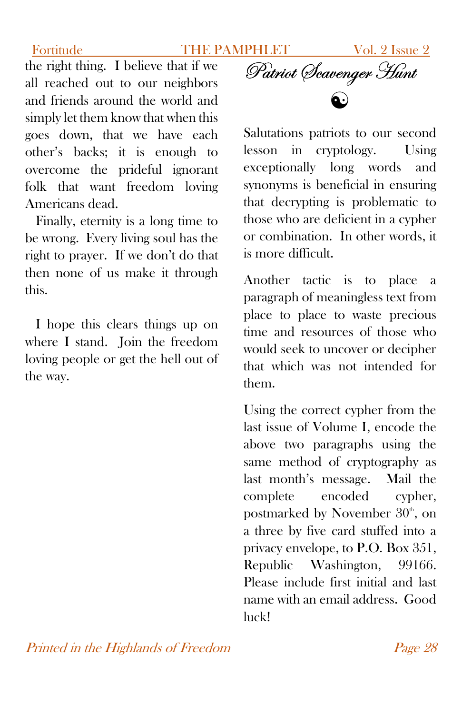the right thing. I believe that if we all reached out to our neighbors and friends around the world and simply let them know that when this goes down, that we have each other's backs; it is enough to overcome the prideful ignorant folk that want freedom loving Americans dead.

 Finally, eternity is a long time to be wrong. Every living soul has the right to prayer. If we don't do that then none of us make it through this.

 I hope this clears things up on where I stand. Join the freedom loving people or get the hell out of the way.

Patriot Scavenger Hunt  $\odot$ 

Salutations patriots to our second lesson in cryptology. Using exceptionally long words and synonyms is beneficial in ensuring that decrypting is problematic to those who are deficient in a cypher or combination. In other words, it is more difficult.

Another tactic is to place a paragraph of meaningless text from place to place to waste precious time and resources of those who would seek to uncover or decipher that which was not intended for them.

Using the correct cypher from the last issue of Volume I, encode the above two paragraphs using the same method of cryptography as last month's message. Mail the complete encoded cypher, postmarked by November  $30^{\text{th}}$ , on a three by five card stuffed into a privacy envelope, to P.O. Box 351, Republic Washington, 99166. Please include first initial and last name with an email address. Good luck!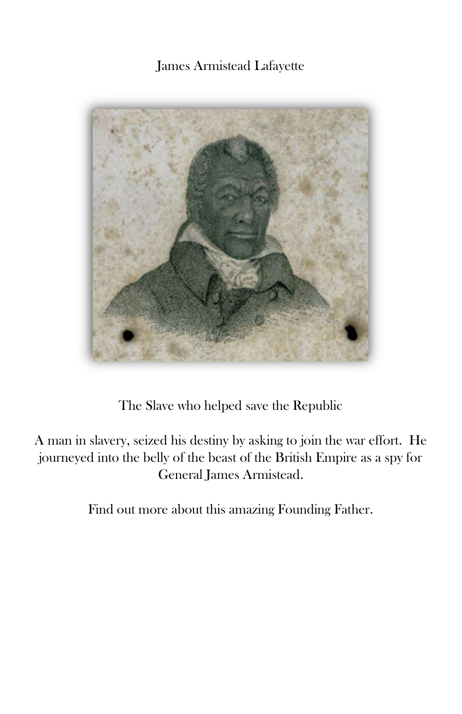### James Armistead Lafayette



The Slave who helped save the Republic

A man in slavery, seized his destiny by asking to join the war effort. He journeyed into the belly of the beast of the British Empire as a spy for General James Armistead.

Find out more about this amazing Founding Father.